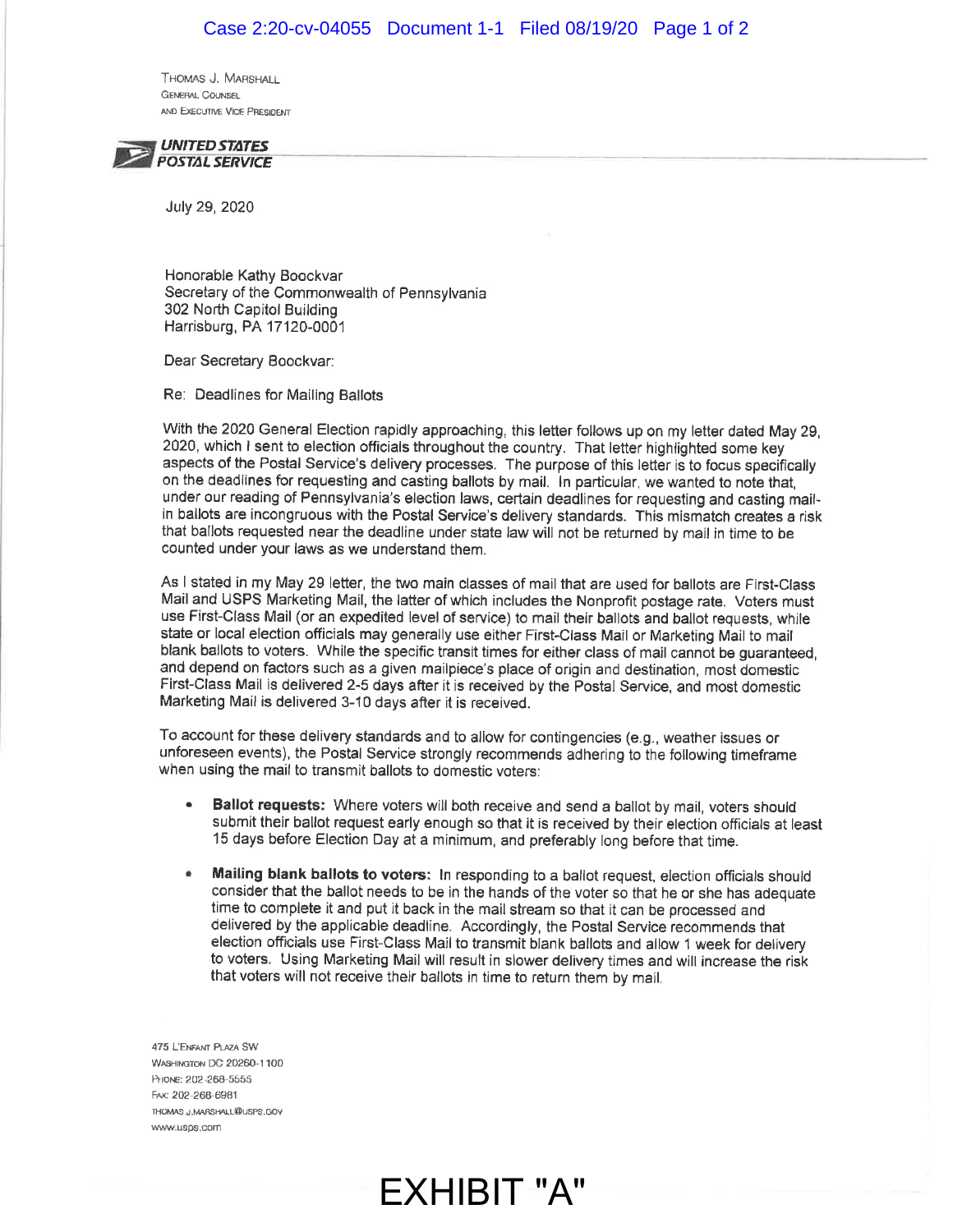Thomas J. Marshall GENERAL COUNSEL AND EXECUTIVE VICE PRESIDENT



July 29, 2020

Honorable Kathy Boockvar Secretary of the Commonwealth of Pennsylvania 302 North Capitol Building Harrisburg, PA 17120-0001

Dear Secretary Boockvar:

Re: Deadlines for Mailing Ballots

With the 2020 General Election rapidly approaching, this letter follows up on my letter dated May 29, 2020, which I sent to election officials throughout the country. That letter highlighted some key aspects of the Postal Service's delivery processes. The purpose of this letter is to focus specifically on the deadlines for requesting and casting ballots by mail. ln particular, we wanted to note that, under our reading of Pennsylvania's election laws, certain deadlines for requesting and casting mailin ballots are incongruous with the Postal Service's delivery standards. This mismatch creates a risk that ballots requested near the deadline under state law will not be returned by mail in time to be counted under your laws as we understand them.

As I stated in my May 29 letter, the two main classes of mail that are used for ballots are First-Class Mail and USPS Marketing Mail, the latter of which includes the Nonprofit postage rate. Voters must use First-Class Mail (or an expedited level of service) to mail their ballots and ballot requests, while state or local election officials may generally use either First-Class Mail or Marketing Mail to mail blank ballots to voters. While the specific transit times for either class of mallcannot be guaranteed, and depend on factors such as a given mailpiece's place of origin and destination, most domestic First-Class Mail is delivered 2-5 days after it is received by the Postal Service, and most domestic Marketing Mail is delivered 3-10 days after it is received.

To account for these delivery standards and to allow for contingencies (e.g., weather issues or unforeseen events), the Postal Service strongly recommends adhering to ihe following timeframe when using the mail to transmit ballots to domestic voters:

- Ballot requests: Where voters will both receive and send a ballot by mail, voters should submit their ballot request early enough so that it is received by their election officials at least 15 days before Election Day at a minimum, and preferably long before that time. a
- Mailing blank ballots to voters: In responding to a ballot request, election officials should consider that the ballot needs to be in the hands of the voter so that he or she has adequate time to complete it and put it back in the mail stream so that it can be processed and delivered by the applicable deadline. Aceordingly, the Postal Service recommends that election officials use First-Class Mail to transmit blank ballots and allow 1 week for delivery to voters. Using Marketing Mail will result in slower delivery times and will increase the risk that voters will not receive their ballots in time to return them by mail. a

EXHIBIT "A"

475 L'ENFANT PLAZA SW WASHINGTON DC 20260-1100 PHONE: 202-268-5555 FAx: 202-268-6981 THOMAS.J.MARSHALL@USPS.GOV www.usps.com